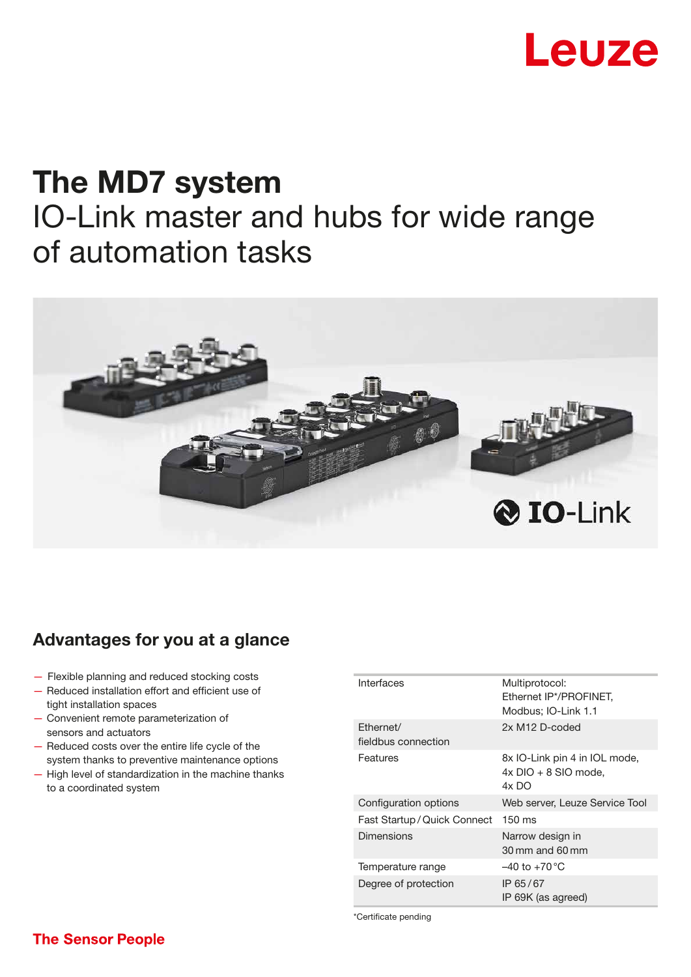# Leuze

## The MD7 system IO-Link master and hubs for wide range of automation tasks



### Advantages for you at a glance

- Flexible planning and reduced stocking costs
- Reduced installation effort and efficient use of tight installation spaces
- Convenient remote parameterization of sensors and actuators
- Reduced costs over the entire life cycle of the system thanks to preventive maintenance options
- High level of standardization in the machine thanks to a coordinated system

| Interfaces                       | Multiprotocol:<br>Ethernet IP*/PROFINET,<br>Modbus; IO-Link 1.1    |
|----------------------------------|--------------------------------------------------------------------|
| Ethernet/<br>fieldbus connection | 2x M12 D-coded                                                     |
| Features                         | 8x IO-Link pin 4 in IOL mode,<br>$4x$ DIO + 8 SIO mode.<br>$4x$ DO |
| Configuration options            | Web server, Leuze Service Tool                                     |
| Fast Startup / Quick Connect     | $150 \text{ ms}$                                                   |
| <b>Dimensions</b>                | Narrow design in<br>30 mm and 60 mm                                |
| Temperature range                | $-40$ to $+70^{\circ}$ C                                           |
| Degree of protection             | IP 65/67<br>IP 69K (as agreed)                                     |

\*Certificate pending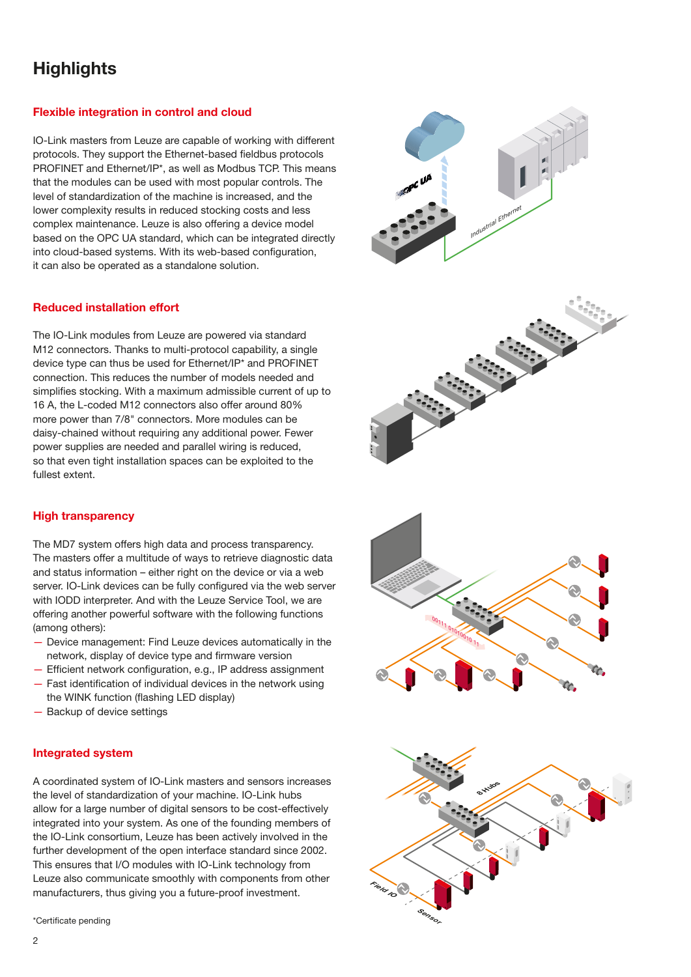## **Highlights**

#### Flexible integration in control and cloud

IO-Link masters from Leuze are capable of working with different protocols. They support the Ethernet-based fieldbus protocols PROFINET and Ethernet/IP\*, as well as Modbus TCP. This means that the modules can be used with most popular controls. The level of standardization of the machine is increased, and the lower complexity results in reduced stocking costs and less complex maintenance. Leuze is also offering a device model based on the OPC UA standard, which can be integrated directly into cloud-based systems. With its web-based configuration, it can also be operated as a standalone solution.

#### Reduced installation effort

The IO-Link modules from Leuze are powered via standard M12 connectors. Thanks to multi-protocol capability, a single device type can thus be used for Ethernet/IP\* and PROFINET connection. This reduces the number of models needed and simplifies stocking. With a maximum admissible current of up to 16 A, the L-coded M12 connectors also offer around 80% more power than 7/8" connectors. More modules can be daisy-chained without requiring any additional power. Fewer power supplies are needed and parallel wiring is reduced, so that even tight installation spaces can be exploited to the fullest extent.

#### High transparency

The MD7 system offers high data and process transparency. The masters offer a multitude of ways to retrieve diagnostic data and status information – either right on the device or via a web server. IO-Link devices can be fully configured via the web server with IODD interpreter. And with the Leuze Service Tool, we are offering another powerful software with the following functions (among others):

- Device management: Find Leuze devices automatically in the network, display of device type and firmware version
- $-$  Efficient network configuration, e.g., IP address assignment  $-$  Fast identification of individual devices in the network using
- the WINK function (flashing LED display)
- Backup of device settings

#### Integrated system

A coordinated system of IO-Link masters and sensors increases the level of standardization of your machine. IO-Link hubs allow for a large number of digital sensors to be cost-effectively integrated into your system. As one of the founding members of the IO-Link consortium, Leuze has been actively involved in the further development of the open interface standard since 2002. This ensures that I/O modules with IO-Link technology from Leuze also communicate smoothly with components from other manufacturers, thus giving you a future-proof investment.

\*Certificate pending







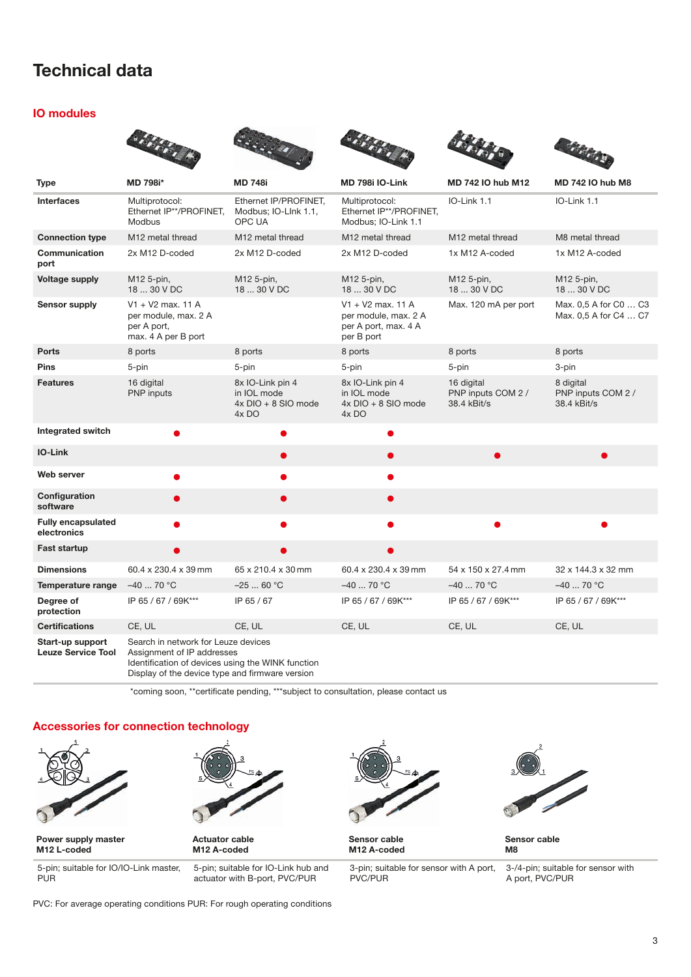## Technical data

#### IO modules

|                                               | <b>Sidney</b>                                                                                                                                                             | 2000000                                                           | <b>Station</b>                                                                    |                                                 | <b>SHARA</b>                                   |  |  |
|-----------------------------------------------|---------------------------------------------------------------------------------------------------------------------------------------------------------------------------|-------------------------------------------------------------------|-----------------------------------------------------------------------------------|-------------------------------------------------|------------------------------------------------|--|--|
| <b>Type</b>                                   | MD 798i*                                                                                                                                                                  | <b>MD 748i</b>                                                    | MD 798i IO-Link                                                                   | <b>MD 742 IO hub M12</b>                        | <b>MD 742 IO hub M8</b>                        |  |  |
| <b>Interfaces</b>                             | Multiprotocol:<br>Ethernet IP**/PROFINET,<br><b>Modbus</b>                                                                                                                | Ethernet IP/PROFINET,<br>Modbus; IO-LInk 1.1,<br>OPC UA           | Multiprotocol:<br>Ethernet IP**/PROFINET,<br>Modbus; IO-Link 1.1                  | IO-Link 1.1                                     | IO-Link 1.1                                    |  |  |
| <b>Connection type</b>                        | M <sub>12</sub> metal thread                                                                                                                                              | M12 metal thread                                                  | M <sub>12</sub> metal thread                                                      | M <sub>12</sub> metal thread                    | M8 metal thread                                |  |  |
| Communication<br>port                         | 2x M12 D-coded                                                                                                                                                            | 2x M12 D-coded                                                    | 2x M12 D-coded                                                                    | 1x M12 A-coded                                  | 1x M12 A-coded                                 |  |  |
| <b>Voltage supply</b>                         | M12 5-pin,<br>18  30 V DC                                                                                                                                                 | M12 5-pin,<br>18  30 V DC                                         | M12 5-pin,<br>18  30 V DC                                                         | M12 5-pin,<br>18  30 V DC                       | M12 5-pin,<br>18  30 V DC                      |  |  |
| Sensor supply                                 | $V1 + V2$ max. 11 A<br>per module, max. 2 A<br>per A port,<br>max. 4 A per B port                                                                                         |                                                                   | $V1 + V2$ max, 11 A<br>per module, max. 2 A<br>per A port, max. 4 A<br>per B port | Max. 120 mA per port                            | Max. 0,5 A for C0  C3<br>Max. 0,5 A for C4  C7 |  |  |
| <b>Ports</b>                                  | 8 ports                                                                                                                                                                   | 8 ports                                                           | 8 ports                                                                           | 8 ports                                         | 8 ports                                        |  |  |
| <b>Pins</b>                                   | 5-pin                                                                                                                                                                     | 5-pin                                                             | 5-pin                                                                             | 5-pin                                           | 3-pin                                          |  |  |
| <b>Features</b>                               | 16 digital<br>PNP inputs                                                                                                                                                  | 8x IO-Link pin 4<br>in IOL mode<br>$4x$ DIO + 8 SIO mode<br>4x DO | 8x IO-Link pin 4<br>in IOL mode<br>$4x$ DIO + 8 SIO mode<br>4x DO                 | 16 digital<br>PNP inputs COM 2 /<br>38.4 kBit/s | 8 digital<br>PNP inputs COM 2 /<br>38.4 kBit/s |  |  |
| <b>Integrated switch</b>                      |                                                                                                                                                                           |                                                                   |                                                                                   |                                                 |                                                |  |  |
| <b>IO-Link</b>                                |                                                                                                                                                                           |                                                                   |                                                                                   | $\bullet$                                       | $\bullet$                                      |  |  |
| Web server                                    | ●                                                                                                                                                                         |                                                                   |                                                                                   |                                                 |                                                |  |  |
| Configuration<br>software                     | ۰                                                                                                                                                                         |                                                                   | O                                                                                 |                                                 |                                                |  |  |
| <b>Fully encapsulated</b><br>electronics      |                                                                                                                                                                           |                                                                   |                                                                                   |                                                 |                                                |  |  |
| <b>Fast startup</b>                           | D                                                                                                                                                                         |                                                                   |                                                                                   |                                                 |                                                |  |  |
| <b>Dimensions</b>                             | 60.4 x 230.4 x 39 mm                                                                                                                                                      | 65 x 210.4 x 30 mm                                                | 60.4 x 230.4 x 39 mm                                                              | 54 x 150 x 27.4 mm                              | 32 x 144.3 x 32 mm                             |  |  |
| Temperature range                             | $-4070 °C$                                                                                                                                                                | $-2560 °C$                                                        | $-4070 °C$                                                                        | $-40$ 70 °C                                     | $-40$ 70 °C                                    |  |  |
| Degree of<br>protection                       | IP 65 / 67 / 69K***                                                                                                                                                       | IP 65 / 67                                                        | IP 65 / 67 / 69K***                                                               | IP 65 / 67 / 69K***                             | IP 65 / 67 / 69K***                            |  |  |
| <b>Certifications</b>                         | CE, UL                                                                                                                                                                    | CE, UL                                                            | CE, UL                                                                            | CE, UL                                          | CE, UL                                         |  |  |
| Start-up support<br><b>Leuze Service Tool</b> | Search in network for Leuze devices<br>Assignment of IP addresses<br>Identification of devices using the WINK function<br>Display of the device type and firmware version |                                                                   |                                                                                   |                                                 |                                                |  |  |

\*coming soon, \*\*certificate pending, \*\*\*subject to consultation, please contact us

#### Accessories for connection technology



Power supply master M12 L-coded



Actuator cable M12 A-coded

5-pin; suitable for IO/IO-Link master, PUR

5-pin; suitable for IO-Link hub and actuator with B-port, PVC/PUR



Sensor cable M12 A-coded

3-pin; suitable for sensor with A port, PVC/PUR



Sensor cable M8

3-/4-pin; suitable for sensor with A port, PVC/PUR

PVC: For average operating conditions PUR: For rough operating conditions